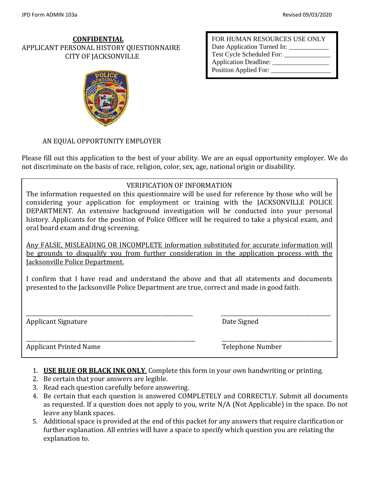#### **CONFIDENTIAL** APPLICANT PERSONAL HISTORY QUESTIONNAIRE CITY OF JACKSONVILLE



FOR HUMAN RESOURCES USE ONLY Date Application Turned In: Test Cycle Scheduled For: \_\_\_\_\_\_\_\_\_\_\_\_\_\_ Application Deadline: Position Applied For: \_\_\_\_\_\_\_\_\_\_\_\_\_\_\_\_\_\_

#### AN EQUAL OPPORTUNITY EMPLOYER

Please fill out this application to the best of your ability. We are an equal opportunity employer. We do not discriminate on the basis of race, religion, color, sex, age, national origin or disability.

#### VERIFICATION OF INFORMATION

The information requested on this questionnaire will be used for reference by those who will be considering your application for employment or training with the JACKSONVILLE POLICE DEPARTMENT. An extensive background investigation will be conducted into your personal history. Applicants for the position of Police Officer will be required to take a physical exam, and oral board exam and drug screening.

Any FALSE, MISLEADING OR INCOMPLETE information substituted for accurate information will be grounds to disqualify you from further consideration in the application process with the Jacksonville Police Department.

I confirm that I have read and understand the above and that all statements and documents presented to the Jacksonville Police Department are true, correct and made in good faith.

\_\_\_\_\_\_\_\_\_\_\_\_\_\_\_\_\_\_\_\_\_\_\_\_\_\_\_\_\_\_\_\_\_\_\_\_\_\_\_\_\_\_\_\_\_\_\_\_\_\_\_\_\_\_\_\_\_\_\_\_\_\_ \_\_\_\_\_\_\_\_\_\_\_\_\_\_\_\_\_\_\_\_\_\_\_\_\_\_\_\_\_\_\_\_\_\_\_\_\_\_\_\_\_ Applicant Signature **Date Signature** Date Signed

\_\_\_\_\_\_\_\_\_\_\_\_\_\_\_\_\_\_\_\_\_\_\_\_\_\_\_\_\_\_\_\_\_\_\_\_\_\_\_\_\_\_\_\_\_\_\_\_\_\_\_\_\_\_\_\_\_\_\_\_\_\_\_ \_\_\_\_\_\_\_\_\_\_\_\_\_\_\_\_\_\_\_\_\_\_\_\_\_\_\_\_\_\_\_\_\_\_\_\_\_\_\_\_\_ Applicant Printed Name Telephone Number

- 1. **USE BLUE OR BLACK INK ONLY**. Complete this form in your own handwriting or printing.
- 2. Be certain that your answers are legible.
- 3. Read each question carefully before answering.
- 4. Be certain that each question is answered COMPLETELY and CORRECTLY. Submit all documents as requested. If a question does not apply to you, write N/A (Not Applicable) in the space. Do not leave any blank spaces.
- 5. Additional space is provided at the end of this packet for any answers that require clarification or further explanation. All entries will have a space to specify which question you are relating the explanation to.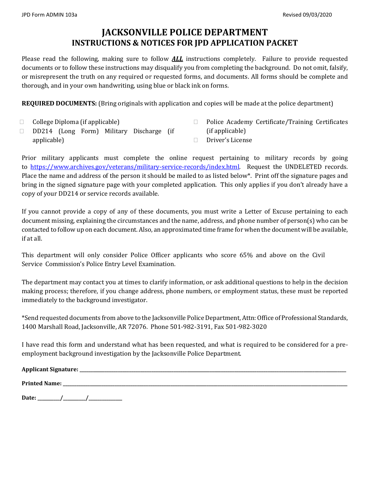## **JACKSONVILLE POLICE DEPARTMENT INSTRUCTIONS & NOTICES FOR JPD APPLICATION PACKET**

Please read the following, making sure to follow *ALL* instructions completely. Failure to provide requested documents or to follow these instructions may disqualify you from completing the background. Do not omit, falsify, or misrepresent the truth on any required or requested forms, and documents. All forms should be complete and thorough, and in your own handwriting, using blue or black ink on forms.

**REQUIRED DOCUMENTS:** (Bring originals with application and copies will be made at the police department)

 $\Box$  College Diploma (if applicable)

- □ Police Academy Certificate/Training Certificates (if applicable)
- DD214 (Long Form) Military Discharge (if applicable)
	- Driver's License

Prior military applicants must complete the online request pertaining to military records by going to [https://www.archives.gov/veterans/military-service-records/index.html.](https://www.archives.gov/veterans/military-service-records/index.html) Request the UNDELETED records. Place the name and address of the person it should be mailed to as listed below\*. Print off the signature pages and bring in the signed signature page with your completed application. This only applies if you don't already have a copy of your DD214 or service records available.

If you cannot provide a copy of any of these documents, you must write a Letter of Excuse pertaining to each document missing, explaining the circumstances and the name, address, and phone number of person(s) who can be contacted to follow up on each document. Also, an approximated time frame for when the document will be available, if at all.

This department will only consider Police Officer applicants who score 65% and above on the Civil Service Commission's Police Entry Level Examination.

The department may contact you at times to clarify information, or ask additional questions to help in the decision making process; therefore, if you change address, phone numbers, or employment status, these must be reported immediately to the background investigator.

\*Send requested documents from above to the Jacksonville Police Department, Attn: Office of Professional Standards, 1400 Marshall Road, Jacksonville, AR 72076. Phone 501-982-3191, Fax 501-982-3020

I have read this form and understand what has been requested, and what is required to be considered for a preemployment background investigation by the Jacksonville Police Department.

| <b>Applicant Signature:</b> |  |  |  |
|-----------------------------|--|--|--|
| <b>Printed Name:</b>        |  |  |  |
| $\sim$ $\sim$               |  |  |  |

**Date: \_\_\_\_\_\_\_\_\_\_/\_\_\_\_\_\_\_\_\_\_/\_\_\_\_\_\_\_\_\_\_\_\_\_\_\_**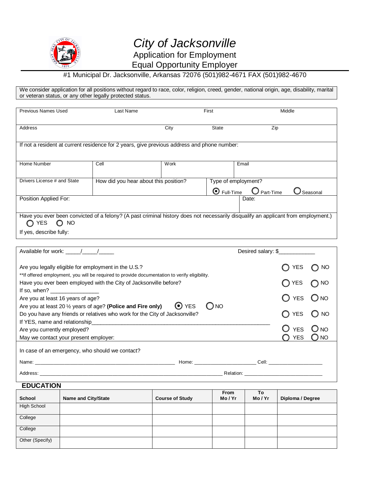

### #1 Municipal Dr. Jacksonville, Arkansas 72076 (501)982-4671 FAX (501)982-4670

We consider application for all positions without regard to race, color, religion, creed, gender, national origin, age, disability, marital or veteran status, or any other legally protected status.

| <b>Previous Names Used</b>                                                                                                                                           | Last Name                             |      | First               |                                  | Middle     |           |
|----------------------------------------------------------------------------------------------------------------------------------------------------------------------|---------------------------------------|------|---------------------|----------------------------------|------------|-----------|
| Address                                                                                                                                                              |                                       | City | <b>State</b>        | Zip                              |            |           |
| If not a resident at current residence for 2 years, give previous address and phone number:                                                                          |                                       |      |                     |                                  |            |           |
| Home Number                                                                                                                                                          | Cell                                  | Work |                     | Email                            |            |           |
| Drivers License # and State                                                                                                                                          | How did you hear about this position? |      | $\bullet$ Full-Time | Type of employment?<br>Part-Time |            | Seasonal  |
| Position Applied For:                                                                                                                                                |                                       |      |                     | Date:                            |            |           |
| Have you ever been convicted of a felony? (A past criminal history does not necessarily disqualify an applicant from employment.)<br>$\bigcirc$ YES<br>$\bigcirc$ NO |                                       |      |                     |                                  |            |           |
| If yes, describe fully:                                                                                                                                              |                                       |      |                     |                                  |            |           |
| Available for work: \[\starsquare 1}                                                                                                                                 |                                       |      |                     | Desired salary: \$               |            |           |
| Are you legally eligible for employment in the U.S.?<br>**If offered employment, you will be required to provide documentation to verify eligibility.                |                                       |      |                     |                                  | YES        | <b>NO</b> |
| Have you ever been employed with the City of Jacksonville before?                                                                                                    |                                       |      |                     |                                  | <b>YES</b> |           |

|                                                                                                                                                                                                                                                                                                                    |                              | Relation: ______________                                                                                      |                |               |
|--------------------------------------------------------------------------------------------------------------------------------------------------------------------------------------------------------------------------------------------------------------------------------------------------------------------|------------------------------|---------------------------------------------------------------------------------------------------------------|----------------|---------------|
|                                                                                                                                                                                                                                                                                                                    |                              | Home: Cell: Cell: Cell: Cell: Cell: Cell: Cell: Cell: Cell: Cell: Cell: Cell: Cell: Cell: Cell: Cell: Cell: C |                |               |
| In case of an emergency, who should we contact?                                                                                                                                                                                                                                                                    |                              |                                                                                                               |                |               |
| May we contact your present employer:                                                                                                                                                                                                                                                                              |                              |                                                                                                               | O YES ONO      |               |
| Are you currently employed?                                                                                                                                                                                                                                                                                        |                              |                                                                                                               | <b>YES</b>     | $O_{NO}$      |
|                                                                                                                                                                                                                                                                                                                    |                              |                                                                                                               |                |               |
| Do you have any friends or relatives who work for the City of Jacksonville?                                                                                                                                                                                                                                        |                              |                                                                                                               | $\bigcirc$ YES | $\bigcirc$ NO |
| Are you at least 20 1/2 years of age? (Police and Fire only)                                                                                                                                                                                                                                                       | $\odot$ YES<br>$\bigcirc$ NO |                                                                                                               |                |               |
| Are you at least 16 years of age?                                                                                                                                                                                                                                                                                  |                              |                                                                                                               | $\bigcirc$ YES | $O_{NQ}$      |
| If so, when? $\frac{1}{2}$ $\frac{1}{2}$ $\frac{1}{2}$ $\frac{1}{2}$ $\frac{1}{2}$ $\frac{1}{2}$ $\frac{1}{2}$ $\frac{1}{2}$ $\frac{1}{2}$ $\frac{1}{2}$ $\frac{1}{2}$ $\frac{1}{2}$ $\frac{1}{2}$ $\frac{1}{2}$ $\frac{1}{2}$ $\frac{1}{2}$ $\frac{1}{2}$ $\frac{1}{2}$ $\frac{1}{2}$ $\frac{1}{2}$ $\frac{1}{2}$ |                              |                                                                                                               |                |               |
| <b>I ROVE YOU EVEL DEELL EITIDIOVED WILLI LITE CITY OF JACKSOFTVINE DEIOTE!</b>                                                                                                                                                                                                                                    |                              |                                                                                                               | ULLO UNU       |               |

**EDUCATION**

| <b>School</b>   | <b>Name and City/State</b> | <b>Course of Study</b> | <b>From</b><br>Mo/Yr | To<br>Mo/Yr | Diploma / Degree |
|-----------------|----------------------------|------------------------|----------------------|-------------|------------------|
| High School     |                            |                        |                      |             |                  |
| College         |                            |                        |                      |             |                  |
| College         |                            |                        |                      |             |                  |
| Other (Specify) |                            |                        |                      |             |                  |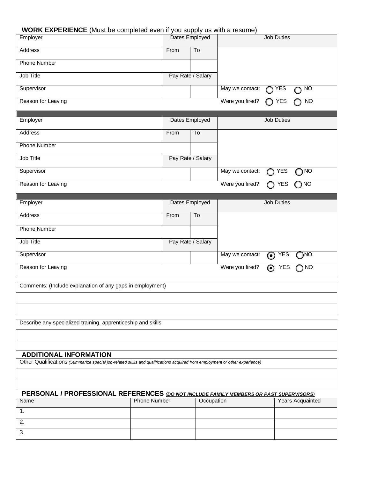#### **WORK EXPERIENCE** (Must be completed even if you supply us with a resume)

| Employer                                                  |      | Dates Employed         |                 | <b>Job Duties</b>                               |
|-----------------------------------------------------------|------|------------------------|-----------------|-------------------------------------------------|
| <b>Address</b>                                            | From | $\overline{\text{To}}$ |                 |                                                 |
| <b>Phone Number</b>                                       |      |                        |                 |                                                 |
| Job Title                                                 |      | Pay Rate / Salary      |                 |                                                 |
| Supervisor                                                |      |                        | May we contact: | <b>YES</b><br>N <sub>O</sub>                    |
| Reason for Leaving                                        |      |                        | Were you fired? | N <sub>O</sub><br><b>YES</b>                    |
| Employer                                                  |      | Dates Employed         |                 | <b>Job Duties</b>                               |
| <b>Address</b>                                            | From | To                     |                 |                                                 |
| <b>Phone Number</b>                                       |      |                        |                 |                                                 |
| Job Title                                                 |      | Pay Rate / Salary      |                 |                                                 |
| Supervisor                                                |      |                        | May we contact: | <b>YES</b><br>NO                                |
| Reason for Leaving                                        |      |                        | Were you fired? | ) NO<br><b>YES</b>                              |
| Employer                                                  |      | Dates Employed         |                 | <b>Job Duties</b>                               |
|                                                           |      |                        |                 |                                                 |
| Address                                                   | From | To                     |                 |                                                 |
| <b>Phone Number</b>                                       |      |                        |                 |                                                 |
| Job Title                                                 |      | Pay Rate / Salary      |                 |                                                 |
| Supervisor                                                |      |                        | May we contact: | $\odot$ YES<br><b>ONC</b>                       |
| Reason for Leaving                                        |      |                        | Were you fired? | <b>NO</b><br><b>YES</b><br>$\boldsymbol{\odot}$ |
| Comments: (Include explanation of any gaps in employment) |      |                        |                 |                                                 |
|                                                           |      |                        |                 |                                                 |

Describe any specialized training, apprenticeship and skills.

#### **ADDITIONAL INFORMATION**

Other Qualifications *(Summarize special job-related skills and qualifications acquired from employment or other experience)*

### **PERSONAL / PROFESSIONAL REFERENCES** *(DO NOT INCLUDE FAMILY MEMBERS OR PAST SUPERVISORS)*

| Name     | <b>Phone Number</b> | Occupation | Years Acquainted |
|----------|---------------------|------------|------------------|
| . .      |                     |            |                  |
| <u>.</u> |                     |            |                  |
| 3.       |                     |            |                  |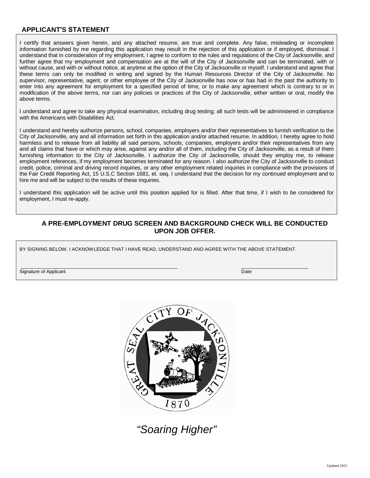#### **APPLICANT'S STATEMENT**

I certify that answers given herein, and any attached resume, are true and complete. Any false, misleading or incomplete information furnished by me regarding this application may result in the rejection of this application or if employed, dismissal. I understand that in consideration of my employment, I agree to conform to the rules and regulations of the City of Jacksonville, and further agree that my employment and compensation are at the will of the City of Jacksonville and can be terminated, with or without cause, and with or without notice, at anytime at the option of the City of Jacksonville or myself. I understand and agree that these terms can only be modified in writing and signed by the Human Resources Director of the City of Jacksonville. No supervisor, representative, agent, or other employee of the City of Jacksonville has now or has had in the past the authority to enter into any agreement for employment for a specified period of time, or to make any agreement which is contrary to or in modification of the above terms, nor can any policies or practices of the City of Jacksonville, either written or oral, modify the above terms.

I understand and agree to take any physical examination, including drug testing; all such tests will be administered in compliance with the Americans with Disabilities Act.

I understand and hereby authorize persons, school, companies, employers and/or their representatives to furnish verification to the City of Jacksonville, any and all information set forth in this application and/or attached resume. In addition, I hereby agree to hold harmless and to release from all liability all said persons, schools, companies, employers and/or their representatives from any and all claims that have or which may arise, against any and/or all of them, including the City of Jacksonville, as a result of them furnishing information to the City of Jacksonville. I authorize the City of Jacksonville, should they employ me, to release employment references, if my employment becomes terminated for any reason. I also authorize the City of Jacksonville to conduct credit, police, criminal and driving record inquiries, or any other employment related inquiries in compliance with the provisions of the Fair Credit Reporting Act, 15 U.S.C Section 1681, et. seq. I understand that the decision for my continued employment and to hire me and will be subject to the results of these inquiries.

I understand this application will be active until this position applied for is filled. After that time, if I wish to be considered for employment, I must re-apply.

#### **A PRE-EMPLOYMENT DRUG SCREEN AND BACKGROUND CHECK WILL BE CONDUCTED UPON JOB OFFER.**

BY SIGNING BELOW, I ACKNOWLEDGE THAT I HAVE READ, UNDERSTAND AND AGREE WITH THE ABOVE STATEMENT.

Signature of Applicant Date of Applicant Date of Applicant Date of Applicant Date of Applicant Date of Applicant Date of Applicant Date of Applicant Date of Applicant Date of Applicant Date of Applicant Date of Applicant D

\_\_\_\_\_\_\_\_\_\_\_\_\_\_\_\_\_\_\_\_\_\_\_\_\_\_\_\_\_\_\_\_\_\_\_\_\_\_\_\_\_\_\_\_\_\_\_\_\_\_\_\_\_\_\_\_\_ \_\_\_\_\_\_\_\_\_\_\_\_\_\_\_\_\_\_\_\_\_\_\_\_\_



 *"Soaring Higher"*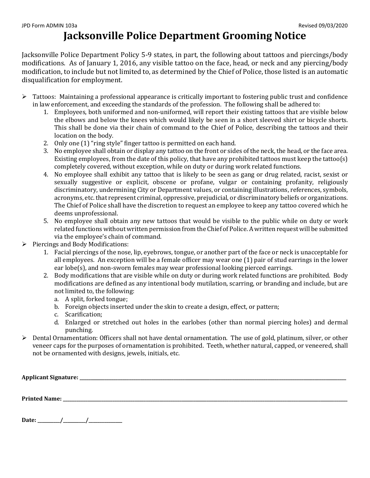# **Jacksonville Police Department Grooming Notice**

Jacksonville Police Department Policy 5-9 states, in part, the following about tattoos and piercings/body modifications. As of January 1, 2016, any visible tattoo on the face, head, or neck and any piercing/body modification, to include but not limited to, as determined by the Chief of Police, those listed is an automatic disqualification for employment.

- > Tattoos: Maintaining a professional appearance is critically important to fostering public trust and confidence in law enforcement, and exceeding the standards of the profession. The following shall be adhered to:
	- 1. Employees, both uniformed and non-uniformed, will report their existing tattoos that are visible below the elbows and below the knees which would likely be seen in a short sleeved shirt or bicycle shorts. This shall be done via their chain of command to the Chief of Police, describing the tattoos and their location on the body.
	- 2. Only one (1) "ring style" finger tattoo is permitted on each hand.
	- 3. No employee shall obtain or display any tattoo on the front or sides of the neck, the head, or the face area. Existing employees, from the date of this policy, that have any prohibited tattoos must keep the tattoo(s) completely covered, without exception, while on duty or during work related functions.
	- 4. No employee shall exhibit any tattoo that is likely to be seen as gang or drug related, racist, sexist or sexually suggestive or explicit, obscene or profane, vulgar or containing profanity, religiously discriminatory, undermining City or Department values, or containing illustrations, references, symbols, acronyms, etc. that represent criminal, oppressive, prejudicial, or discriminatory beliefs or organizations. The Chief of Police shall have the discretion to request an employee to keep any tattoo covered which he deems unprofessional.
	- 5. No employee shall obtain any new tattoos that would be visible to the public while on duty or work related functions without written permission from the Chief of Police. A written request will be submitted via the employee's chain of command.
- $\triangleright$  Piercings and Body Modifications:
	- 1. Facial piercings of the nose, lip, eyebrows, tongue, or another part of the face or neck is unacceptable for all employees. An exception will be a female officer may wear one (1) pair of stud earrings in the lower ear lobe(s), and non-sworn females may wear professional looking pierced earrings.
	- 2. Body modifications that are visible while on duty or during work related functions are prohibited. Body modifications are defined as any intentional body mutilation, scarring, or branding and include, but are not limited to, the following:
		- a. A split, forked tongue;
		- b. Foreign objects inserted under the skin to create a design, effect, or pattern;
		- c. Scarification;
		- d. Enlarged or stretched out holes in the earlobes (other than normal piercing holes) and dermal punching.
- $\triangleright$  Dental Ornamentation: Officers shall not have dental ornamentation. The use of gold, platinum, silver, or other veneer caps for the purposes of ornamentation is prohibited. Teeth, whether natural, capped, or veneered, shall not be ornamented with designs, jewels, initials, etc.

| <b>Applicant Signature:</b> |  |  |  |
|-----------------------------|--|--|--|
|                             |  |  |  |
|                             |  |  |  |
| <b>Printed Name:</b>        |  |  |  |

**Date: \_\_\_\_\_\_\_\_\_\_/\_\_\_\_\_\_\_\_\_\_/\_\_\_\_\_\_\_\_\_\_\_\_\_\_\_**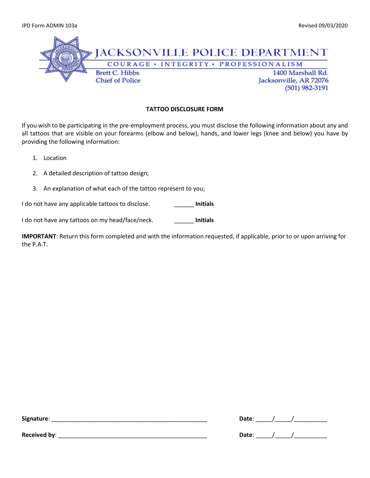

#### **TATTOO DISCLOSURE FORM**

If you wish to be participating in the pre-employment process, you must disclose the following information about any and all tattoos that are visible on your forearms (elbow and below), hands, and lower legs (knee and below) you have by providing the following information:

- 1. Location
- 2. A detailed description of tattoo design;
- 3. An explanation of what each of the tattoo represent to you;

I do not have any applicable tattoos to disclose. \_\_\_\_\_\_ **Initials**

I do not have any tattoos on my head/face/neck. \_\_\_\_\_\_ **Initials**

**IMPORTANT**: Return this form completed and with the information requested, if applicable, prior to or upon arriving for the P.A.T.

| ---<br>- HP<br>o<br>_ | ___ |  |
|-----------------------|-----|--|
|-----------------------|-----|--|

| <b>Received by:</b> | .)ate<br>. |  |
|---------------------|------------|--|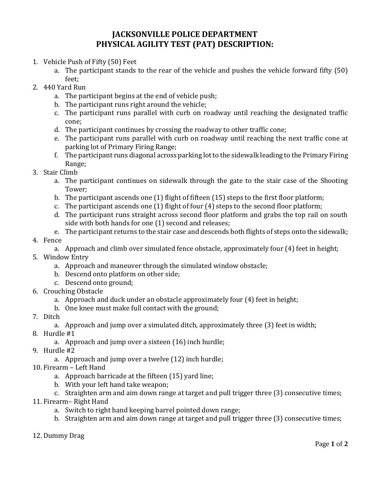### **JACKSONVILLE POLICE DEPARTMENT PHYSICAL AGILITY TEST (PAT) DESCRIPTION:**

- 1. Vehicle Push of Fifty (50) Feet
	- a. The participant stands to the rear of the vehicle and pushes the vehicle forward fifty (50) feet;
- 2. 440 Yard Run
	- a. The participant begins at the end of vehicle push;
	- b. The participant runs right around the vehicle;
	- c. The participant runs parallel with curb on roadway until reaching the designated traffic cone;
	- d. The participant continues by crossing the roadway to other traffic cone;
	- e. The participant runs parallel with curb on roadway until reaching the next traffic cone at parking lot of Primary Firing Range;
	- f. The participant runs diagonal across parking lot to the sidewalk leading to the Primary Firing Range;
- 3. Stair Climb
	- a. The participant continues on sidewalk through the gate to the stair case of the Shooting Tower;
	- b. The participant ascends one (1) flight of fifteen (15) steps to the first floor platform;
	- c. The participant ascends one (1) flight of four (4) steps to the second floor platform;
	- d. The participant runs straight across second floor platform and grabs the top rail on south side with both hands for one (1) second and releases;
	- e. The participant returns to the stair case and descends both flights of steps onto the sidewalk;
- 4. Fence
	- a. Approach and climb over simulated fence obstacle, approximately four (4) feet in height;
- 5. Window Entry
	- a. Approach and maneuver through the simulated window obstacle;
	- b. Descend onto platform on other side;
	- c. Descend onto ground;
- 6. Crouching Obstacle
	- a. Approach and duck under an obstacle approximately four (4) feet in height;
	- b. One knee must make full contact with the ground;
- 7. Ditch
	- a. Approach and jump over a simulated ditch, approximately three (3) feet in width;
- 8. Hurdle #1
	- a. Approach and jump over a sixteen (16) inch hurdle;
- 9. Hurdle #2
	- a. Approach and jump over a twelve (12) inch hurdle;
- 10. Firearm Left Hand
	- a. Approach barricade at the fifteen (15) yard line;
	- b. With your left hand take weapon;
	- c. Straighten arm and aim down range at target and pull trigger three (3) consecutive times;
- 11. Firearm– Right Hand
	- a. Switch to right hand keeping barrel pointed down range;
	- b. Straighten arm and aim down range at target and pull trigger three (3) consecutive times;
- 12. Dummy Drag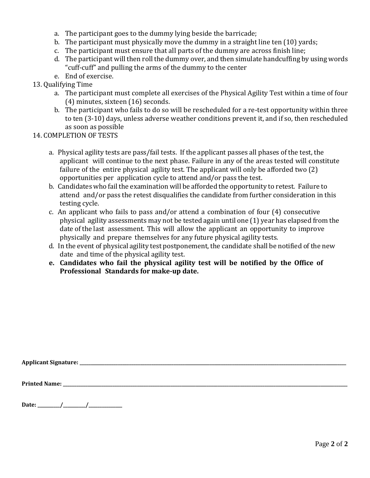- a. The participant goes to the dummy lying beside the barricade;
- b. The participant must physically move the dummy in a straight line ten (10) yards;
- c. The participant must ensure that all parts of the dummy are across finish line;
- d. The participant will then roll the dummy over, and then simulate handcuffing by using words "cuff-cuff" and pulling the arms of the dummy to the center
- e. End of exercise.
- 13. Qualifying Time
	- a. The participant must complete all exercises of the Physical Agility Test within a time of four (4) minutes, sixteen (16) seconds.
	- b. The participant who fails to do so will be rescheduled for a re-test opportunity within three to ten (3-10) days, unless adverse weather conditions prevent it, and if so, then rescheduled as soon as possible
- 14. COMPLETION OF TESTS
	- a. Physical agility tests are pass/fail tests. If the applicant passes all phases of the test, the applicant will continue to the next phase. Failure in any of the areas tested will constitute failure of the entire physical agility test. The applicant will only be afforded two (2) opportunities per application cycle to attend and/or pass the test.
	- b. Candidates who fail the examination will be afforded the opportunity to retest. Failure to attend and/or pass the retest disqualifies the candidate from further consideration in this testing cycle.
	- c. An applicant who fails to pass and/or attend a combination of four (4) consecutive physical agility assessments may not be tested again until one (1) year has elapsed from the date of the last assessment. This will allow the applicant an opportunity to improve physically and prepare themselves for any future physical agility tests.
	- d. In the event of physical agility test postponement, the candidate shall be notified of the new date and time of the physical agility test.
	- **e. Candidates who fail the physical agility test will be notified by the Office of Professional Standards for make-up date.**

**Applicant Signature: \_\_\_\_\_\_\_\_\_\_\_\_\_\_\_\_\_\_\_\_\_\_\_\_\_\_\_\_\_\_\_\_\_\_\_\_\_\_\_\_\_\_\_\_\_\_\_\_\_\_\_\_\_\_\_\_\_\_\_\_\_\_\_\_\_\_\_\_\_\_\_\_\_\_\_\_\_\_\_\_\_\_\_\_\_\_\_\_\_\_\_\_\_\_\_\_\_\_\_\_\_\_\_\_\_\_\_\_\_\_\_\_\_\_\_\_\_\_\_**

**Printed Name: \_\_\_\_\_\_\_\_\_\_\_\_\_\_\_\_\_\_\_\_\_\_\_\_\_\_\_\_\_\_\_\_\_\_\_\_\_\_\_\_\_\_\_\_\_\_\_\_\_\_\_\_\_\_\_\_\_\_\_\_\_\_\_\_\_\_\_\_\_\_\_\_\_\_\_\_\_\_\_\_\_\_\_\_\_\_\_\_\_\_\_\_\_\_\_\_\_\_\_\_\_\_\_\_\_\_\_\_\_\_\_\_\_\_\_\_\_\_\_\_\_\_\_\_\_\_\_**

**Date: \_\_\_\_\_\_\_\_\_\_/\_\_\_\_\_\_\_\_\_\_/\_\_\_\_\_\_\_\_\_\_\_\_\_\_\_**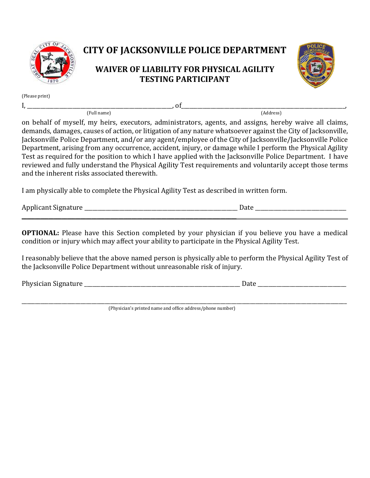

# **CITY OF JACKSONVILLE POLICE DEPARTMENT**

### **WAIVER OF LIABILITY FOR PHYSICAL AGILITY TESTING PARTICIPANT**



(Please print)

I, \_\_\_\_\_\_\_\_\_\_\_\_\_\_\_\_\_\_\_\_\_\_\_\_\_\_\_\_\_\_\_\_\_\_\_\_\_\_\_\_\_\_\_\_\_\_\_\_\_\_\_\_\_\_, of\_\_\_\_\_\_\_\_\_\_\_\_\_\_\_\_\_\_\_\_\_\_\_\_\_\_\_\_\_\_\_\_\_\_\_\_\_\_\_\_\_\_\_\_\_\_\_\_\_\_\_\_\_\_\_\_\_\_\_\_\_, (Full name) (Address)

on behalf of myself, my heirs, executors, administrators, agents, and assigns, hereby waive all claims, demands, damages, causes of action, or litigation of any nature whatsoever against the City of Jacksonville, Jacksonville Police Department, and/or any agent/employee of the City of Jacksonville/Jacksonville Police Department, arising from any occurrence, accident, injury, or damage while I perform the Physical Agility Test as required for the position to which I have applied with the Jacksonville Police Department. I have reviewed and fully understand the Physical Agility Test requirements and voluntarily accept those terms and the inherent risks associated therewith.

I am physically able to complete the Physical Agility Test as described in written form.

\_\_\_\_\_\_\_\_\_\_\_\_\_\_\_\_\_\_\_\_\_\_\_\_\_\_\_\_\_\_\_\_\_\_\_\_\_\_\_\_\_\_\_\_\_\_\_\_\_\_\_\_\_\_\_\_\_\_\_\_\_\_\_\_\_\_\_\_\_\_\_\_\_\_\_\_\_\_\_\_

Applicant Signature **Example 20** and the set of the set of the set of the set of the set of the set of the set of the set of the set of the set of the set of the set of the set of the set of the set of the set of the set o

**OPTIONAL:** Please have this Section completed by your physician if you believe you have a medical condition or injury which may affect your ability to participate in the Physical Agility Test.

I reasonably believe that the above named person is physically able to perform the Physical Agility Test of the Jacksonville Police Department without unreasonable risk of injury.

Physician Signature **Exercise 2** and the set of the set of the set of the set of the set of the set of the set of the set of the set of the set of the set of the set of the set of the set of the set of the set of the set o

\_\_\_\_\_\_\_\_\_\_\_\_\_\_\_\_\_\_\_\_\_\_\_\_\_\_\_\_\_\_\_\_\_\_\_\_\_\_\_\_\_\_\_\_\_\_\_\_\_\_\_\_\_\_\_\_\_\_\_\_\_\_\_\_\_\_\_\_\_\_\_\_\_\_\_\_\_\_\_\_\_\_\_\_\_\_\_\_\_\_\_\_\_\_\_\_\_\_\_\_\_\_\_\_\_\_\_\_\_\_\_\_\_\_\_\_\_\_\_\_\_ (Physician's printed name and office address/phone number)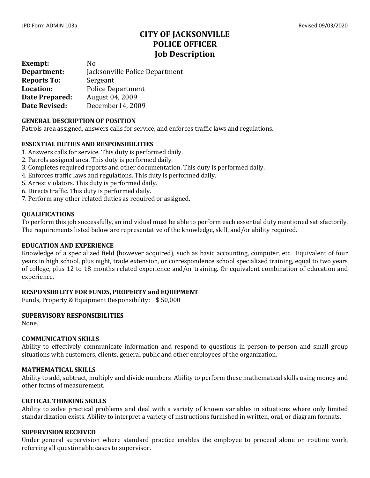### **CITY OF JACKSONVILLE POLICE OFFICER Job Description**

**Exempt:** No<br>**Department:** Jac **Department:** Jacksonville Police Department **Reports To:**<br>Location: Police Department<br>August 04, 2009 **Date Prepared:<br>Date Revised: Date Revised:** December14, 2009

#### **GENERAL DESCRIPTION OF POSITION**

Patrols area assigned, answers calls for service, and enforces traffic laws and regulations.

#### **ESSENTIAL DUTIES AND RESPONSIBILITIES**

- 1. Answers calls for service. This duty is performed daily.
- 2. Patrols assigned area. This duty is performed daily.
- 3. Completes required reports and other documentation. This duty is performed daily.
- 4. Enforces traffic laws and regulations. This duty is performed daily.
- 5. Arrest violators. This duty is performed daily.
- 6. Directs traffic. This duty is performed daily.
- 7. Perform any other related duties as required or assigned.

#### **QUALIFICATIONS**

To perform this job successfully, an individual must be able to perform each essential duty mentioned satisfactorily. The requirements listed below are representative of the knowledge, skill, and/or ability required.

#### **EDUCATION AND EXPERIENCE**

Knowledge of a specialized field (however acquired), such as basic accounting, computer, etc. Equivalent of four years in high school, plus night, trade extension, or correspondence school specialized training, equal to two years of college, plus 12 to 18 months related experience and/or training. Or equivalent combination of education and experience.

#### **RESPONSIBILITY FOR FUNDS, PROPERTY and EQUIPMENT**

Funds, Property & Equipment Responsibility: \$ 50,000

#### **SUPERVISORY RESPONSIBILITIES**

None.

#### **COMMUNICATION SKILLS**

Ability to effectively communicate information and respond to questions in person-to-person and small group situations with customers, clients, general public and other employees of the organization.

#### **MATHEMATICAL SKILLS**

Ability to add, subtract, multiply and divide numbers. Ability to perform these mathematical skills using money and other forms of measurement.

#### **CRITICAL THINKING SKILLS**

Ability to solve practical problems and deal with a variety of known variables in situations where only limited standardization exists. Ability to interpret a variety of instructions furnished in written, oral, or diagram formats.

#### **SUPERVISION RECEIVED**

Under general supervision where standard practice enables the employee to proceed alone on routine work, referring all questionable cases to supervisor.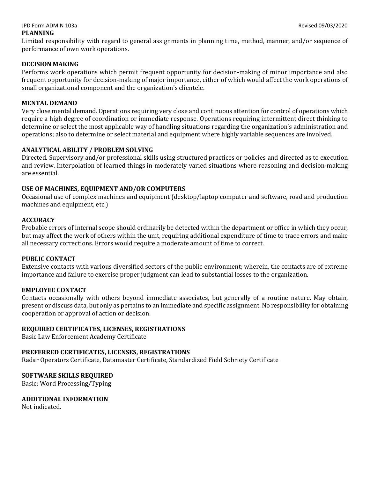### JPD Form ADMIN 103a Revised 09/03/2020

#### **PLANNING**

Limited responsibility with regard to general assignments in planning time, method, manner, and/or sequence of performance of own work operations.

#### **DECISION MAKING**

Performs work operations which permit frequent opportunity for decision-making of minor importance and also frequent opportunity for decision-making of major importance, either of which would affect the work operations of small organizational component and the organization's clientele.

#### **MENTAL DEMAND**

Very close mental demand. Operations requiring very close and continuous attention for control of operations which require a high degree of coordination or immediate response. Operations requiring intermittent direct thinking to determine or select the most applicable way of handling situations regarding the organization's administration and operations; also to determine or select material and equipment where highly variable sequences are involved.

#### **ANALYTICAL ABILITY / PROBLEM SOLVING**

Directed. Supervisory and/or professional skills using structured practices or policies and directed as to execution and review. Interpolation of learned things in moderately varied situations where reasoning and decision-making are essential.

#### **USE OF MACHINES, EQUIPMENT AND/OR COMPUTERS**

Occasional use of complex machines and equipment (desktop/laptop computer and software, road and production machines and equipment, etc.)

#### **ACCURACY**

Probable errors of internal scope should ordinarily be detected within the department or office in which they occur, but may affect the work of others within the unit, requiring additional expenditure of time to trace errors and make all necessary corrections. Errors would require a moderate amount of time to correct.

#### **PUBLIC CONTACT**

Extensive contacts with various diversified sectors of the public environment; wherein, the contacts are of extreme importance and failure to exercise proper judgment can lead to substantial losses to the organization.

#### **EMPLOYEE CONTACT**

Contacts occasionally with others beyond immediate associates, but generally of a routine nature. May obtain, present or discuss data, but only as pertains to an immediate and specific assignment. No responsibility for obtaining cooperation or approval of action or decision.

#### **REQUIRED CERTIFICATES, LICENSES, REGISTRATIONS**

Basic Law Enforcement Academy Certificate

#### **PREFERRED CERTIFICATES, LICENSES, REGISTRATIONS**

Radar Operators Certificate, Datamaster Certificate, Standardized Field Sobriety Certificate

#### **SOFTWARE SKILLS REQUIRED**

Basic: Word Processing/Typing

#### **ADDITIONAL INFORMATION**

Not indicated.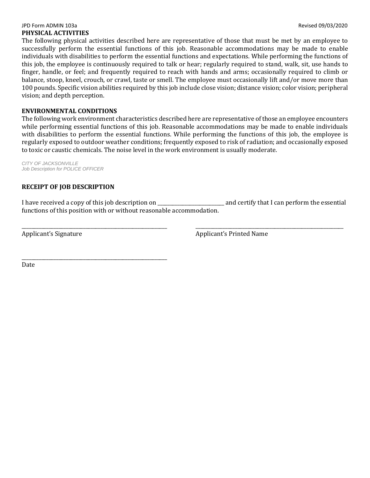#### JPD Form ADMIN 103a Revised 09/03/2020 **PHYSICAL ACTIVITIES**

The following physical activities described here are representative of those that must be met by an employee to successfully perform the essential functions of this job. Reasonable accommodations may be made to enable individuals with disabilities to perform the essential functions and expectations. While performing the functions of this job, the employee is continuously required to talk or hear; regularly required to stand, walk, sit, use hands to finger, handle, or feel; and frequently required to reach with hands and arms; occasionally required to climb or balance, stoop, kneel, crouch, or crawl, taste or smell. The employee must occasionally lift and/or move more than 100 pounds. Specific vision abilities required by this job include close vision; distance vision; color vision; peripheral vision; and depth perception.

#### **ENVIRONMENTAL CONDITIONS**

The following work environment characteristics described here are representative of those an employee encounters while performing essential functions of this job. Reasonable accommodations may be made to enable individuals with disabilities to perform the essential functions. While performing the functions of this job, the employee is regularly exposed to outdoor weather conditions; frequently exposed to risk of radiation; and occasionally exposed to toxic or caustic chemicals. The noise level in the work environment is usually moderate.

*CITY OF JACKSONVILLE Job Description for POLICE OFFICER*

#### **RECEIPT OF JOB DESCRIPTION**

I have received a copy of this job description on \_\_\_\_\_\_\_\_\_\_\_\_\_\_\_\_\_\_\_\_\_\_\_\_\_\_\_ and certify that I can perform the essential functions of this position with or without reasonable accommodation.

\_\_\_\_\_\_\_\_\_\_\_\_\_\_\_\_\_\_\_\_\_\_\_\_\_\_\_\_\_\_\_\_\_\_\_\_\_\_\_\_\_\_\_\_\_\_\_\_\_\_\_\_\_\_\_\_\_\_\_ \_\_\_\_\_\_\_\_\_\_\_\_\_\_\_\_\_\_\_\_\_\_\_\_\_\_\_\_\_\_\_\_\_\_\_\_\_\_\_\_\_\_\_\_\_\_\_\_\_\_\_\_\_\_\_\_\_\_\_\_ Applicant's Signature Applicant's Printed Name

\_\_\_\_\_\_\_\_\_\_\_\_\_\_\_\_\_\_\_\_\_\_\_\_\_\_\_\_\_\_\_\_\_\_\_\_\_\_\_\_\_\_\_\_\_\_\_\_\_\_\_\_\_\_\_\_\_\_\_ Date